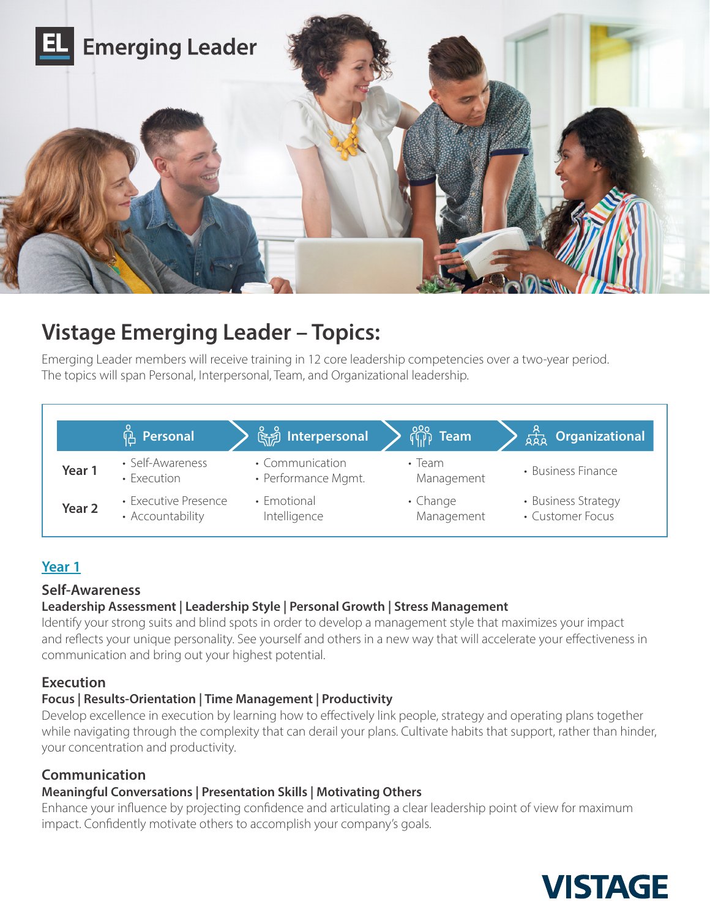

# **Vistage Emerging Leader – Topics:**

Emerging Leader members will receive training in 12 core leadership competencies over a two-year period. The topics will span Personal, Interpersonal, Team, and Organizational leadership.

|                   | <b><u><b>A</b></u></b> Personal          | <u>ြို့ Interpersonal</u>              | $\sqrt{\frac{200}{10}}$ Team | <b>A<sub>RA</sub> Organizational</b>    |
|-------------------|------------------------------------------|----------------------------------------|------------------------------|-----------------------------------------|
| Year 1            | • Self-Awareness<br>• Execution          | • Communication<br>• Performance Mgmt. | $\cdot$ Team<br>Management   | • Business Finance                      |
| Year <sub>2</sub> | • Executive Presence<br>• Accountability | • Emotional<br>Intelligence            | • Change<br>Management       | • Business Strategy<br>• Customer Focus |

# **Year 1**

# **Self-Awareness**

# **Leadership Assessment | Leadership Style | Personal Growth | Stress Management**

Identify your strong suits and blind spots in order to develop a management style that maximizes your impact and reflects your unique personality. See yourself and others in a new way that will accelerate your effectiveness in communication and bring out your highest potential.

# **Execution**

#### **Focus | Results-Orientation | Time Management | Productivity**

Develop excellence in execution by learning how to effectively link people, strategy and operating plans together while navigating through the complexity that can derail your plans. Cultivate habits that support, rather than hinder, your concentration and productivity.

# **Communication**

# **Meaningful Conversations | Presentation Skills | Motivating Others**

Enhance your influence by projecting confidence and articulating a clear leadership point of view for maximum impact. Confidently motivate others to accomplish your company's goals.